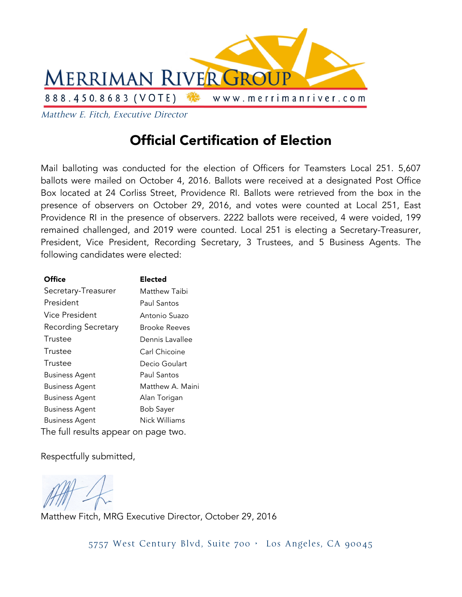

Matthew E. Fitch, Executive Director

## Official Certification of Election

Mail balloting was conducted for the election of Officers for Teamsters Local 251. 5,607 ballots were mailed on October 4, 2016. Ballots were received at a designated Post Office Box located at 24 Corliss Street, Providence RI. Ballots were retrieved from the box in the presence of observers on October 29, 2016, and votes were counted at Local 251, East Providence RI in the presence of observers. 2222 ballots were received, 4 were voided, 199 remained challenged, and 2019 were counted. Local 251 is electing a Secretary-Treasurer, President, Vice President, Recording Secretary, 3 Trustees, and 5 Business Agents. The following candidates were elected:

| Office                               | Elected          |  |  |  |
|--------------------------------------|------------------|--|--|--|
| Secretary-Treasurer                  | Matthew Taibi    |  |  |  |
| President                            | Paul Santos      |  |  |  |
| Vice President                       | Antonio Suazo    |  |  |  |
| <b>Recording Secretary</b>           | Brooke Reeves    |  |  |  |
| Trustee                              | Dennis Lavallee  |  |  |  |
| Trustee                              | Carl Chicoine    |  |  |  |
| Trustee                              | Decio Goulart    |  |  |  |
| <b>Business Agent</b>                | Paul Santos      |  |  |  |
| Business Agent                       | Matthew A. Maini |  |  |  |
| <b>Business Agent</b>                | Alan Torigan     |  |  |  |
| <b>Business Agent</b>                | <b>Bob Sayer</b> |  |  |  |
| Business Agent                       | Nick Williams    |  |  |  |
| The full results appear on page two. |                  |  |  |  |

Respectfully submitted,

Matthew Fitch, MRG Executive Director, October 29, 2016

5757 West Century Blvd, Suite 700 • Los Angeles, CA 90045